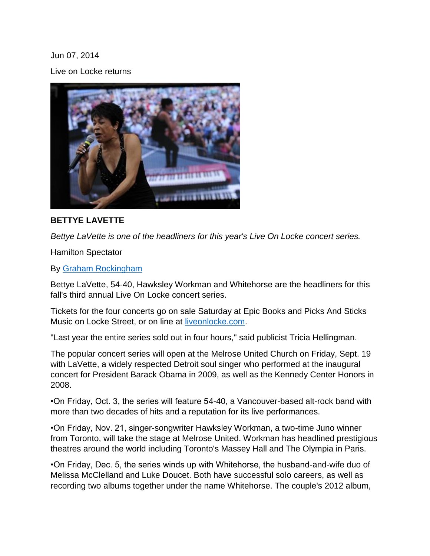Jun 07, 2014 Live on Locke returns



## **BETTYE LAVETTE**

*Bettye LaVette is one of the headliners for this year's Live On Locke concert series.*

Hamilton Spectator

By [Graham Rockingham](http://www.thespec.com/hamilton-author/graham-rockingham/2ff0c27b-0289-4232-b726-e66cc72b7897)

Bettye LaVette, 54-40, Hawksley Workman and Whitehorse are the headliners for this fall's third annual Live On Locke concert series.

Tickets for the four concerts go on sale Saturday at Epic Books and Picks And Sticks Music on Locke Street, or on line at [liveonlocke.com.](http://www.thespec.com/whatson-story/4563999-live-on-locke-returns/www.liveonlocke.com)

"Last year the entire series sold out in four hours," said publicist Tricia Hellingman.

The popular concert series will open at the Melrose United Church on Friday, Sept. 19 with LaVette, a widely respected Detroit soul singer who performed at the inaugural concert for President Barack Obama in 2009, as well as the Kennedy Center Honors in 2008.

•On Friday, Oct. 3, the series will feature 54-40, a Vancouver-based alt-rock band with more than two decades of hits and a reputation for its live performances.

•On Friday, Nov. 21, singer-songwriter Hawksley Workman, a two-time Juno winner from Toronto, will take the stage at Melrose United. Workman has headlined prestigious theatres around the world including Toronto's Massey Hall and The Olympia in Paris.

•On Friday, Dec. 5, the series winds up with Whitehorse, the husband-and-wife duo of Melissa McClelland and Luke Doucet. Both have successful solo careers, as well as recording two albums together under the name Whitehorse. The couple's 2012 album,